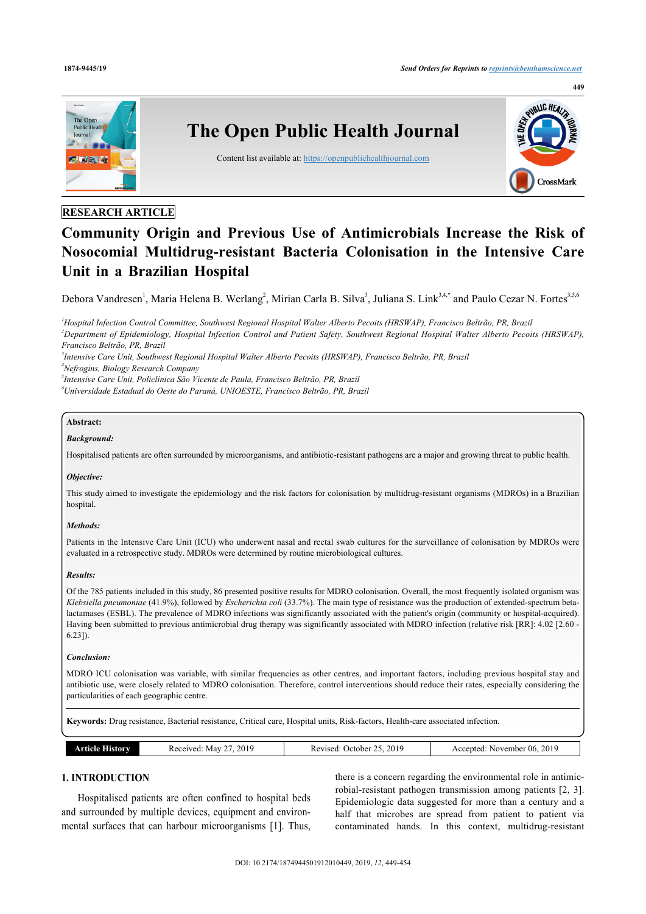

# **RESEARCH ARTICLE**

# **Community Origin and Previous Use of Antimicrobials Increase the Risk of Nosocomial Multidrug-resistant Bacteria Colonisation in the Intensive Care Unit in a Brazilian Hospital**

Debora Vandresen<sup>[1](#page-0-0)</sup>, Maria Helena B. Werlang<sup>[2](#page-0-1)</sup>, Mirian Carla B. Silva<sup>[3](#page-0-2)</sup>, Juliana S. Link<sup>3[,4](#page-0-3),[\\*](#page-1-0)</sup> and Paulo Cezar N. Fortes<sup>3[,5](#page-0-4)[,6](#page--1-0)</sup>

<span id="page-0-1"></span><span id="page-0-0"></span>*<sup>1</sup>Hospital Infection Control Committee, Southwest Regional Hospital Walter Alberto Pecoits (HRSWAP), Francisco Beltrão, PR, Brazil <sup>2</sup>Department of Epidemiology, Hospital Infection Control and Patient Safety, Southwest Regional Hospital Walter Alberto Pecoits (HRSWAP), Francisco Beltrão, PR, Brazil*

<span id="page-0-2"></span>*3 Intensive Care Unit, Southwest Regional Hospital Walter Alberto Pecoits (HRSWAP), Francisco Beltrão, PR, Brazil*

<span id="page-0-3"></span>*<sup>4</sup>Nefrogins, Biology Research Company*

*5 Intensive Care Unit, Policlínica São Vicente de Paula, Francisco Beltrão, PR, Brazil*

<span id="page-0-4"></span>*<sup>6</sup>Universidade Estadual do Oeste do Paraná, UNIOESTE, Francisco Beltrão, PR, Brazil*

# **Abstract:**

# *Background:*

Hospitalised patients are often surrounded by microorganisms, and antibiotic-resistant pathogens are a major and growing threat to public health.

# *Objective:*

This study aimed to investigate the epidemiology and the risk factors for colonisation by multidrug-resistant organisms (MDROs) in a Brazilian hospital.

# *Methods:*

Patients in the Intensive Care Unit (ICU) who underwent nasal and rectal swab cultures for the surveillance of colonisation by MDROs were evaluated in a retrospective study. MDROs were determined by routine microbiological cultures.

# *Results:*

Of the 785 patients included in this study, 86 presented positive results for MDRO colonisation. Overall, the most frequently isolated organism was *Klebsiella pneumoniae* (41.9%), followed by *Escherichia coli* (33.7%). The main type of resistance was the production of extended-spectrum betalactamases (ESBL). The prevalence of MDRO infections was significantly associated with the patient's origin (community or hospital-acquired). Having been submitted to previous antimicrobial drug therapy was significantly associated with MDRO infection (relative risk [RR]: 4.02 [2.60 -6.23]).

# *Conclusion:*

MDRO ICU colonisation was variable, with similar frequencies as other centres, and important factors, including previous hospital stay and antibiotic use, were closely related to MDRO colonisation. Therefore, control interventions should reduce their rates, especially considering the particularities of each geographic centre.

**Keywords:** Drug resistance, Bacterial resistance, Critical care, Hospital units, Risk-factors, Health-care associated infection.

| 2019<br>25, 2019<br><b>Article History</b><br>.) ctober<br>Revised:<br>Received<br>Mav | 2019<br>November 06.<br>Accepted: |
|----------------------------------------------------------------------------------------|-----------------------------------|
|----------------------------------------------------------------------------------------|-----------------------------------|

# **1. INTRODUCTION**

Hospitalised patients are often confined to hospital beds and surrounded by multiple devices, equipment and environmental surfaces that can harbour microorganisms[[1\]](#page-4-0). Thus, there is a concern regarding the environmental role in antimicrobial-resistant pathogen transmission among patients [\[2](#page-4-1), [3](#page-4-2)]. Epidemiologic data suggested for more than a century and a half that microbes are spread from patient to patient via contaminated hands. In this context, multidrug-resistant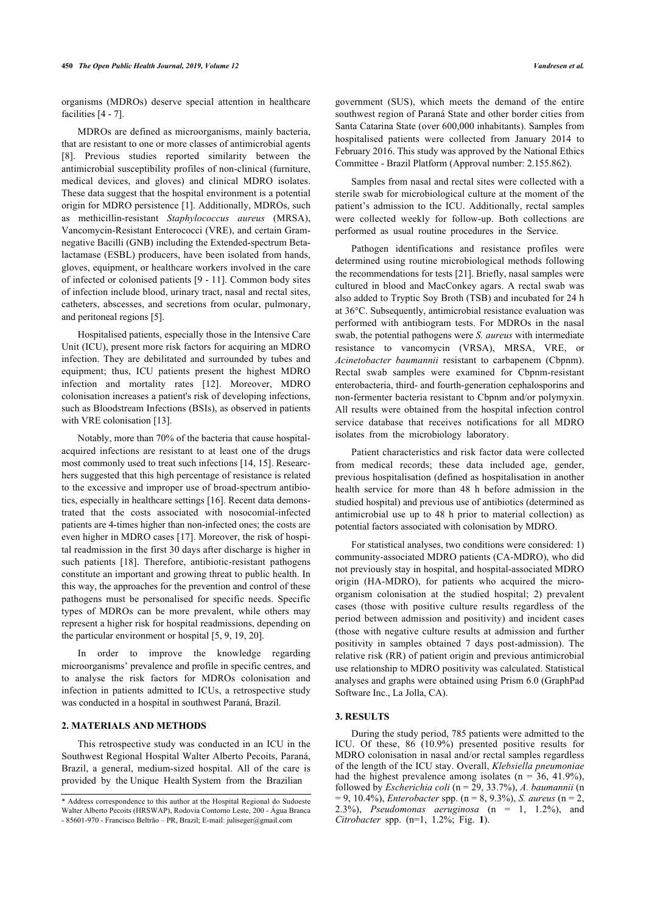organisms (MDROs) deserve special attention in healthcare facilities [[4](#page-4-3) - [7](#page-4-4)].

MDROs are defined as microorganisms, mainly bacteria, that are resistant to one or more classes of antimicrobial agents [[8](#page-4-5)]. Previous studies reported similarity between the antimicrobial susceptibility profiles of non-clinical (furniture, medical devices, and gloves) and clinical MDRO isolates. These data suggest that the hospital environment is a potential origin for MDRO persistence [\[1\]](#page-4-0). Additionally, MDROs, such as methicillin-resistant *Staphylococcus aureus* (MRSA), Vancomycin-Resistant Enterococci (VRE), and certain Gramnegative Bacilli (GNB) including the Extended-spectrum Betalactamase (ESBL) producers, have been isolated from hands, gloves, equipment, or healthcare workers involved in the care of infected or colonised patients [[9](#page-4-6) - [11](#page-4-7)]. Common body sites of infection include blood, urinary tract, nasal and rectal sites, catheters, abscesses, and secretions from ocular, pulmonary, and peritoneal regions [[5](#page-4-8)].

Hospitalised patients, especially those in the Intensive Care Unit (ICU), present more risk factors for acquiring an MDRO infection. They are debilitated and surrounded by tubes and equipment; thus, ICU patients present the highest MDRO infection and mortality rates[[12\]](#page-5-0). Moreover, MDRO colonisation increases a patient's risk of developing infections, such as Bloodstream Infections (BSIs), as observed in patients with VRE colonisation [\[13](#page-5-1)].

Notably, more than 70% of the bacteria that cause hospitalacquired infections are resistant to at least one of the drugs most commonly used to treat such infections [\[14](#page-5-2), [15](#page-5-3)]. Researchers suggested that this high percentage of resistance is related to the excessive and improper use of broad-spectrum antibiotics, especially in healthcare settings [[16\]](#page-5-4). Recent data demonstrated that the costs associated with nosocomial-infected patients are 4-times higher than non-infected ones; the costs are even higher in MDRO cases [\[17](#page-5-5)]. Moreover, the risk of hospital readmission in the first 30 days after discharge is higher in such patients[[18](#page-5-6)]. Therefore, antibiotic-resistant pathogens constitute an important and growing threat to public health. In this way, the approaches for the prevention and control of these pathogens must be personalised for specific needs. Specific types of MDROs can be more prevalent, while others may represent a higher risk for hospital readmissions, depending on the particular environment or hospital [[5](#page-4-8), [9](#page-4-6), [19,](#page-5-7) [20](#page-5-8)].

In order to improve the knowledge regarding microorganisms' prevalence and profile in specific centres, and to analyse the risk factors for MDROs colonisation and infection in patients admitted to ICUs, a retrospective study was conducted in a hospital in southwest Paraná, Brazil.

# **2. MATERIALS AND METHODS**

This retrospective study was conducted in an ICU in the Southwest Regional Hospital Walter Alberto Pecoits, Paraná, Brazil, a general, medium-sized hospital. All of the care is provided by the Unique Health System from the Brazilian

government (SUS), which meets the demand of the entire southwest region of Paraná State and other border cities from Santa Catarina State (over 600,000 inhabitants). Samples from hospitalised patients were collected from January 2014 to February 2016. This study was approved by the National Ethics Committee - Brazil Platform (Approval number: 2.155.862).

Samples from nasal and rectal sites were collected with a sterile swab for microbiological culture at the moment of the patient's admission to the ICU. Additionally, rectal samples were collected weekly for follow-up. Both collections are performed as usual routine procedures in the Service.

Pathogen identifications and resistance profiles were determined using routine microbiological methods following the recommendations for tests [[21\]](#page-5-9). Briefly, nasal samples were cultured in blood and MacConkey agars. A rectal swab was also added to Tryptic Soy Broth (TSB) and incubated for 24 h at 36°C. Subsequently, antimicrobial resistance evaluation was performed with antibiogram tests. For MDROs in the nasal swab, the potential pathogens were *S. aureus* with intermediate resistance to vancomycin (VRSA), MRSA, VRE, or *Acinetobacter baumannii* resistant to carbapenem (Cbpnm). Rectal swab samples were examined for Cbpnm-resistant enterobacteria, third- and fourth-generation cephalosporins and non-fermenter bacteria resistant to Cbpnm and/or polymyxin. All results were obtained from the hospital infection control service database that receives notifications for all MDRO isolates from the microbiology laboratory.

Patient characteristics and risk factor data were collected from medical records; these data included age, gender, previous hospitalisation (defined as hospitalisation in another health service for more than 48 h before admission in the studied hospital) and previous use of antibiotics (determined as antimicrobial use up to 48 h prior to material collection) as potential factors associated with colonisation by MDRO.

For statistical analyses, two conditions were considered: 1) community-associated MDRO patients (CA-MDRO), who did not previously stay in hospital, and hospital-associated MDRO origin (HA-MDRO), for patients who acquired the microorganism colonisation at the studied hospital; 2) prevalent cases (those with positive culture results regardless of the period between admission and positivity) and incident cases (those with negative culture results at admission and further positivity in samples obtained 7 days post-admission). The relative risk (RR) of patient origin and previous antimicrobial use relationship to MDRO positivity was calculated. Statistical analyses and graphs were obtained using Prism 6.0 (GraphPad Software Inc., La Jolla, CA).

# **3. RESULTS**

During the study period, 785 patients were admitted to the ICU. Of these, 86 (10.9%) presented positive results for MDRO colonisation in nasal and/or rectal samples regardless of the length of the ICU stay. Overall, *Klebsiella pneumoniae* had the highest prevalence among isolates ( $n = 36, 41.9\%$ ), followed by *Escherichia coli* (n = 29, 33.7%), *A. baumannii* (n = 9, 10.4%), *Enterobacter* spp. (n = 8, 9.3%), *S. aureus* (n = 2, 2.3%), *Pseudomonas aeruginosa* (n = 1, 1.2%), and *Citrobacter* spp. (n=1, 1.2%; Fig.**1**).

<span id="page-1-0"></span><sup>\*</sup> Address correspondence to this author at the Hospital Regional do Sudoeste Walter Alberto Pecoits (HRSWAP), Rodovia Contorno Leste, 200 - Água Branca - 85601-970 - Francisco Beltrão – PR, Brazil; E-mail: [juliseger@gmail.com](mailto:juliseger@gmail.com)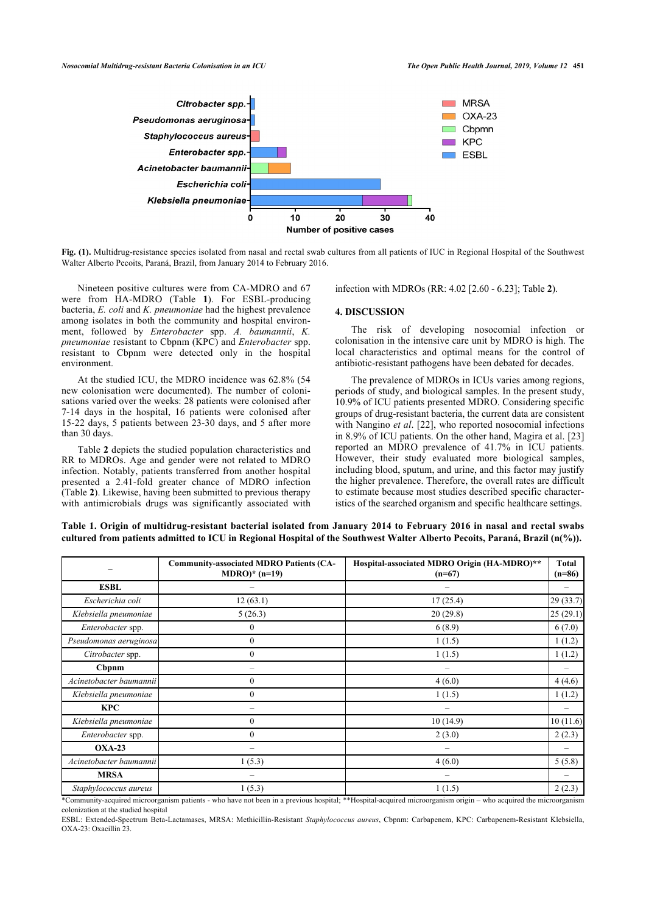<span id="page-2-0"></span>

**Fig. (1).** Multidrug-resistance species isolated from nasal and rectal swab cultures from all patients of IUC in Regional Hospital of the Southwest Walter Alberto Pecoits, Paraná, Brazil, from January 2014 to February 2016.

Nineteen positive cultures were from CA-MDRO and 67 were from HA-MDRO (Table**1**). For ESBL-producing bacteria, *E. coli* and *K. pneumoniae* had the highest prevalence among isolates in both the community and hospital environment, followed by *Enterobacter* spp. *A. baumannii*, *K. pneumoniae* resistant to Cbpnm (KPC) and *Enterobacter* spp. resistant to Cbpnm were detected only in the hospital environment.

At the studied ICU, the MDRO incidence was 62.8% (54 new colonisation were documented). The number of colonisations varied over the weeks: 28 patients were colonised after 7-14 days in the hospital, 16 patients were colonised after 15-22 days, 5 patients between 23-30 days, and 5 after more than 30 days.

Table **[2](#page-3-0)** depicts the studied population characteristics and RR to MDROs. Age and gender were not related to MDRO infection. Notably, patients transferred from another hospital presented a 2.41-fold greater chance of MDRO infection (Table **[2](#page-3-0)**). Likewise, having been submitted to previous therapy with antimicrobials drugs was significantly associated with

infection with MDROs (RR: 4.02 [2.60 - 6.23]; Table **[2](#page-3-0)**).

#### **4. DISCUSSION**

The risk of developing nosocomial infection or colonisation in the intensive care unit by MDRO is high. The local characteristics and optimal means for the control of antibiotic-resistant pathogens have been debated for decades.

The prevalence of MDROs in ICUs varies among regions, periods of study, and biological samples. In the present study, 10.9% of ICU patients presented MDRO. Considering specific groups of drug-resist[ant](#page-5-10) bacteria, the current data are consistent with Nangino *et al*. [22], who reported nosocomial infecti[ons](#page-5-11) in 8.9% of ICU patients. On the other hand, Magira et al. [23] reported an MDRO prevalence of 41.7% in ICU patients. However, their study evaluated more biological samples, including blood, sputum, and urine, and this factor may justify the higher prevalence. Therefore, the overall rates are difficult to estimate because most studies described specific characteristics of the searched organism and specific healthcare settings.

|                                 | <b>Community-associated MDRO Patients (CA-</b><br>$MDRO$ <sup>*</sup> (n=19) | Hospital-associated MDRO Origin (HA-MDRO)**<br>$(n=67)$ |           |
|---------------------------------|------------------------------------------------------------------------------|---------------------------------------------------------|-----------|
| <b>ESBL</b>                     |                                                                              |                                                         |           |
| Escherichia coli                | 12(63.1)                                                                     | 17(25.4)                                                | 29 (33.7) |
| Klebsiella pneumoniae           | 5(26.3)                                                                      | 20(29.8)                                                | 25(29.1)  |
| Enterobacter spp.               | $\mathbf{0}$                                                                 | 6(8.9)                                                  | 6(7.0)    |
| Pseudomonas aeruginosa          | $\mathbf{0}$                                                                 | 1(1.5)                                                  | 1(1.2)    |
| Citrobacter spp.                | $\Omega$                                                                     | 1(1.5)                                                  | 1(1.2)    |
| Cbpnm                           |                                                                              |                                                         |           |
| Acinetobacter baumannii         | $\Omega$                                                                     | 4(6.0)                                                  | 4(4.6)    |
| Klebsiella pneumoniae           | $\mathbf{0}$                                                                 | 1(1.5)                                                  | 1(1.2)    |
| <b>KPC</b>                      |                                                                              |                                                         |           |
| Klebsiella pneumoniae           | $\Omega$                                                                     | 10(14.9)                                                | 10(11.6)  |
| Enterobacter spp.               | $\mathbf{0}$                                                                 | 2(3.0)                                                  | 2(2.3)    |
| $OXA-23$                        | -                                                                            |                                                         |           |
| Acinetobacter baumannii         | 1(5.3)                                                                       | 4(6.0)                                                  | 5(5.8)    |
| <b>MRSA</b>                     |                                                                              |                                                         |           |
| 1(5.3)<br>Staphylococcus aureus |                                                                              | 1(1.5)                                                  | 2(2.3)    |

<span id="page-2-1"></span>**Table 1. Origin of multidrug-resistant bacterial isolated from January 2014 to February 2016 in nasal and rectal swabs cultured from patients admitted to ICU in Regional Hospital of the Southwest Walter Alberto Pecoits, Paraná, Brazil (n(%)).**

\*Community-acquired microorganism patients - who have not been in a previous hospital; \*\*Hospital-acquired microorganism origin – who acquired the microorganism colonization at the studied hospital

ESBL: Extended-Spectrum Beta-Lactamases, MRSA: Methicillin-Resistant *Staphylococcus aureus*, Cbpnm: Carbapenem, KPC: Carbapenem-Resistant Klebsiella, OXA-23: Oxacillin 23.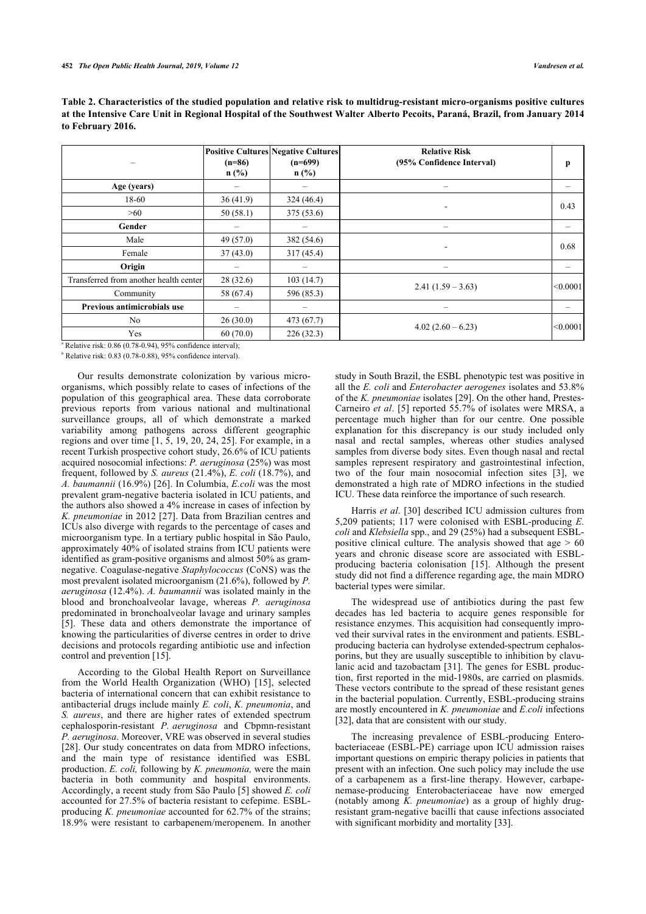|                                        | $(n=86)$<br>n(%) | <b>Positive Cultures Negative Cultures</b><br>$(n=699)$<br>$n$ (%) | <b>Relative Risk</b><br>(95% Confidence Interval) | p        |
|----------------------------------------|------------------|--------------------------------------------------------------------|---------------------------------------------------|----------|
| Age (years)                            |                  |                                                                    |                                                   |          |
| 18-60                                  | 36(41.9)         | 324(46.4)                                                          |                                                   | 0.43     |
| >60                                    | 50(58.1)         | 375(53.6)                                                          | $\blacksquare$                                    |          |
| Gender                                 |                  |                                                                    | -                                                 |          |
| Male                                   | 49(57.0)         | 382 (54.6)                                                         | $\blacksquare$                                    | 0.68     |
| Female                                 | 37(43.0)         | 317(45.4)                                                          |                                                   |          |
| Origin                                 |                  |                                                                    |                                                   |          |
| Transferred from another health center | 28(32.6)         | 103(14.7)                                                          |                                                   |          |
| Community                              | 58 (67.4)        | 596 (85.3)                                                         | $2.41(1.59 - 3.63)$                               | < 0.0001 |
| Previous antimicrobials use            | -                | $\overline{\phantom{0}}$                                           | -                                                 |          |
| N <sub>0</sub>                         | 26(30.0)         | 473 (67.7)                                                         | $4.02(2.60-6.23)$                                 | < 0.0001 |
| Yes                                    | 60(70.0)         | 226(32.3)                                                          |                                                   |          |

<span id="page-3-0"></span>**Table 2. Characteristics of the studied population and relative risk to multidrug-resistant micro-organisms positive cultures at the Intensive Care Unit in Regional Hospital of the Southwest Walter Alberto Pecoits, Paraná, Brazil, from January 2014 to February 2016.**

a Relative risk: 0.86 (0.78-0.94), 95% confidence interval);

 $b$  Relative risk: 0.83 (0.78-0.88), 95% confidence interval).

Our results demonstrate colonization by various microorganisms, which possibly relate to cases of infections of the population of this geographical area. These data corroborate previous reports from various national and multinational surveillance groups, all of which demonstrate a marked variability among pathogens across different geographic regions and over time [[1,](#page-4-0) [5](#page-4-8), [19](#page-5-7), [20](#page-5-8), [24](#page-5-12), [25](#page-5-13)]. For example, in a recent Turkish prospective cohort study, 26.6% of ICU patients acquired nosocomial infections: *P. aeruginosa* (25%) was most frequent, followed by *S. aureus* (21.4%), *E. coli* (18.7%), and *A. baumannii* (16.9%) [[26\]](#page-5-14). In Columbia, *E.coli* was the most prevalent gram-negative bacteria isolated in ICU patients, and the authors also showed a 4% increase in cases of infection by *K. pneumoniae* in 2012 [[27\]](#page-5-15). Data from Brazilian centres and ICUs also diverge with regards to the percentage of cases and microorganism type. In a tertiary public hospital in São Paulo, approximately 40% of isolated strains from ICU patients were identified as gram-positive organisms and almost 50% as gramnegative. Coagulase-negative *Staphylococcus* (CoNS) was the most prevalent isolated microorganism (21.6%), followed by *P. aeruginosa* (12.4%). *A. baumannii* was isolated mainly in the blood and bronchoalveolar lavage, whereas *P. aeruginosa* predominated in bronchoalveolar lavage and urinary samples [[5](#page-4-8)]. These data and others demonstrate the importance of knowing the particularities of diverse centres in order to drive decisions and protocols regarding antibiotic use and infection control and prevention [\[15](#page-5-3)].

According to the Global Health Report on Surveillance from the World Health Organization (WHO)[[15](#page-5-3)], selected bacteria of international concern that can exhibit resistance to antibacterial drugs include mainly *E. coli*, *K. pneumonia*, and *S. aureus*, and there are higher rates of extended spectrum cephalosporin-resistant *P. aeruginosa* and Cbpmn-resistant *P. aeruginosa*. Moreover, VRE was observed in several studies [[28\]](#page-5-16). Our study concentrates on data from MDRO infections, and the main type of resistance identified was ESBL production. *E. coli,* following by *K. pneumonia,* were the main bacteria in both community and hospital environments. Accordingly, a recent study from São Paulo [\[5\]](#page-4-8) showed *E. coli* accounted for 27.5% of bacteria resistant to cefepime. ESBLproducing *K. pneumoniae* accounted for 62.7% of the strains; 18.9% were resistant to carbapenem/meropenem. In another

study in South Brazil, the ESBL phenotypic test was positive in all the *E. coli* and *Enterobacter aerogenes* isolates and 53.8% of the *K. pneumoniae* isolates [[29\]](#page-5-17). On the other hand, Prestes-Carneiro *et al*. [[5](#page-4-8)] reported 55.7% of isolates were MRSA, a percentage much higher than for our centre. One possible explanation for this discrepancy is our study included only nasal and rectal samples, whereas other studies analysed samples from diverse body sites. Even though nasal and rectal samples represent respiratory and gastrointestinal infection, two of the four main nosocomial infection sites[[3](#page-4-2)], we demonstrated a high rate of MDRO infections in the studied ICU. These data reinforce the importance of such research.

Harris *et al*. [\[30\]](#page-5-18) described ICU admission cultures from 5,209 patients; 117 were colonised with ESBL-producing *E. coli* and *Klebsiella* spp., and 29 (25%) had a subsequent ESBLpositive clinical culture. The analysis showed that age  $> 60$ years and chronic disease score are associated with ESBLproducing bacteria colonisation[[15\]](#page-5-3). Although the present study did not find a difference regarding age, the main MDRO bacterial types were similar.

The widespread use of antibiotics during the past few decades has led bacteria to acquire genes responsible for resistance enzymes. This acquisition had consequently improved their survival rates in the environment and patients. ESBLproducing bacteria can hydrolyse extended-spectrum cephalosporins, but they are usually susceptible to inhibition by clavulanic acid and tazobactam [\[31\]](#page-5-19). The genes for ESBL production, first reported in the mid-1980s, are carried on plasmids. These vectors contribute to the spread of these resistant genes in the bacterial population. Currently, ESBL-producing strains are mostly encountered in *K. pneumoniae* and *E.coli* infections [[32\]](#page-5-20), data that are consistent with our study.

The increasing prevalence of ESBL-producing Enterobacteriaceae (ESBL-PE) carriage upon ICU admission raises important questions on empiric therapy policies in patients that present with an infection. One such policy may include the use of a carbapenem as a first-line therapy. However, carbapenemase-producing Enterobacteriaceae have now emerged (notably among *K. pneumoniae*) as a group of highly drugresistant gram-negative bacilli that cause infections associated with significant morbidity and mortality [[33\]](#page-5-2).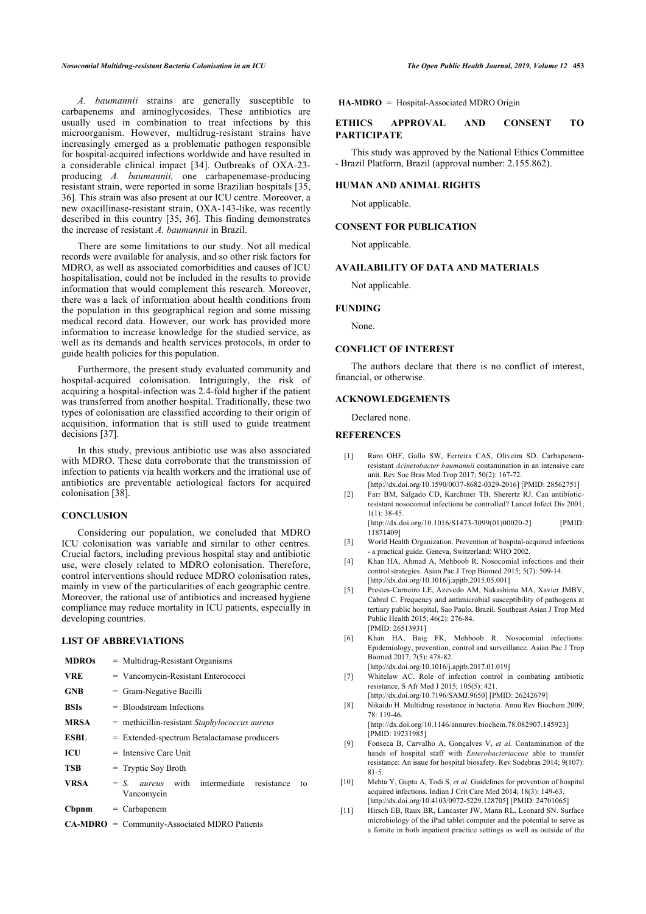*A. baumannii* strains are generally susceptible to carbapenems and aminoglycosides. These antibiotics are usually used in combination to treat infections by this microorganism. However, multidrug-resistant strains have increasingly emerged as a problematic pathogen responsible for hospital-acquired infections worldwide and have resulted in a considerable clinical impact[[34](#page-5-4)]. Outbreaks of OXA-23 producing *A. baumannii,* one carbapenemase-producing resistant strain, were reported in some Brazilian hospitals [[35](#page-5-21), [36\]](#page-5-22). This strain was also present at our ICU centre. Moreover, a new oxacillinase-resistant strain, OXA-143-like, was recently described in this country [\[35](#page-5-21), [36\]](#page-5-22). This finding demonstrates the increase of resistant *A. baumannii* in Brazil.

There are some limitations to our study. Not all medical records were available for analysis, and so other risk factors for MDRO, as well as associated comorbidities and causes of ICU hospitalisation, could not be included in the results to provide information that would complement this research. Moreover, there was a lack of information about health conditions from the population in this geographical region and some missing medical record data. However, our work has provided more information to increase knowledge for the studied service, as well as its demands and health services protocols, in order to guide health policies for this population.

Furthermore, the present study evaluated community and hospital-acquired colonisation. Intriguingly, the risk of acquiring a hospital-infection was 2.4-fold higher if the patient was transferred from another hospital. Traditionally, these two types of colonisation are classified according to their origin of acquisition, information that is still used to guide treatment decisions [\[37](#page-5-8)].

<span id="page-4-0"></span>In this study, previous antibiotic use was also associated with MDRO. These data corroborate that the transmission of infection to patients via health workers and the irrational use of antibiotics are preventable aetiological factors for acquired colonisation [[38\]](#page-5-9).

# <span id="page-4-1"></span>**CONCLUSION**

<span id="page-4-3"></span><span id="page-4-2"></span>Considering our population, we concluded that MDRO ICU colonisation was variable and similar to other centres. Crucial factors, including previous hospital stay and antibiotic use, were closely related to MDRO colonisation. Therefore, control interventions should reduce MDRO colonisation rates, mainly in view of the particularities of each geographic centre. Moreover, the rational use of antibiotics and increased hygiene compliance may reduce mortality in ICU patients, especially in developing countries.

#### <span id="page-4-8"></span>**LIST OF ABBREVIATIONS**

<span id="page-4-7"></span><span id="page-4-6"></span><span id="page-4-5"></span><span id="page-4-4"></span>

| <b>MDROs</b> | $=$ Multidrug-Resistant Organisms                                     |  |  |  |
|--------------|-----------------------------------------------------------------------|--|--|--|
| <b>VRE</b>   | $=$ Vancomycin-Resistant Enterococci                                  |  |  |  |
| <b>GNB</b>   | $=$ Gram-Negative Bacilli                                             |  |  |  |
| <b>BSIs</b>  | $=$ Bloodstream Infections                                            |  |  |  |
| <b>MRSA</b>  | = methicillin-resistant Staphylococcus aureus                         |  |  |  |
| <b>ESBL</b>  | $=$ Extended-spectrum Betalactamase producers                         |  |  |  |
| ICU          | $=$ Intensive Care Unit                                               |  |  |  |
| <b>TSB</b>   | $=$ Tryptic Soy Broth                                                 |  |  |  |
| <b>VRSA</b>  | $= S.$ <i>aureus</i> with intermediate resistance<br>to<br>Vancomycin |  |  |  |
| Cbpnm        | $=$ Carbapenem                                                        |  |  |  |
|              | $CA-MDRO = Community-Associated MDRO Patients$                        |  |  |  |

#### **HA-MDRO** = Hospital-Associated MDRO Origin

# **ETHICS APPROVAL AND CONSENT TO PARTICIPATE**

This study was approved by the National Ethics Committee - Brazil Platform, Brazil (approval number: 2.155.862).

# **HUMAN AND ANIMAL RIGHTS**

Not applicable.

#### **CONSENT FOR PUBLICATION**

Not applicable.

# **AVAILABILITY OF DATA AND MATERIALS**

Not applicable.

#### **FUNDING**

None.

#### **CONFLICT OF INTEREST**

The authors declare that there is no conflict of interest, financial, or otherwise.

# **ACKNOWLEDGEMENTS**

Declared none.

#### **REFERENCES**

- [1] Raro OHF, Gallo SW, Ferreira CAS, Oliveira SD. Carbapenemresistant *Acinetobacter baumannii* contamination in an intensive care unit. Rev Soc Bras Med Trop 2017; 50(2): 167-72. [\[http://dx.doi.org/10.1590/0037-8682-0329-2016](http://dx.doi.org/10.1590/0037-8682-0329-2016)] [PMID: [28562751](http://www.ncbi.nlm.nih.gov/pubmed/28562751)]
- [2] Farr BM, Salgado CD, Karchmer TB, Sherertz RJ. Can antibioticresistant nosocomial infections be controlled? Lancet Infect Dis 2001;  $1(1)$ : 38-45

[\[http://dx.doi.org/10.1016/S1473-3099\(01\)00020-2](http://dx.doi.org/10.1016/S1473-3099(01)00020-2)] [PMID: [11871409\]](http://www.ncbi.nlm.nih.gov/pubmed/11871409)

- [3] World Health Organization. Prevention of hospital-acquired infections - a practical guide. Geneva, Switzerland: WHO 2002.
- [4] Khan HA, Ahmad A, Mehboob R. Nosocomial infections and their control strategies. Asian Pac J Trop Biomed 2015; 5(7): 509-14. [\[http://dx.doi.org/10.1016/j.apjtb.2015.05.001\]](http://dx.doi.org/10.1016/j.apjtb.2015.05.001)
- [5] Prestes-Carneiro LE, Azevedo AM, Nakashima MA, Xavier JMBV, Cabral C. Frequency and antimicrobial susceptibility of pathogens at tertiary public hospital, Sao Paulo, Brazil. Southeast Asian J Trop Med Public Health 2015; 46(2): 276-84. [PMID: [26513931\]](http://www.ncbi.nlm.nih.gov/pubmed/26513931)
- [6] Khan HA, Baig FK, Mehboob R. Nosocomial infections: Epidemiology, prevention, control and surveillance. Asian Pac J Trop Biomed 2017; 7(5): 478-82. [\[http://dx.doi.org/10.1016/j.apjtb.2017.01.019\]](http://dx.doi.org/10.1016/j.apjtb.2017.01.019)
- [7] Whitelaw AC. Role of infection control in combating antibiotic resistance. S Afr Med J 2015; 105(5): 421.

[\[http://dx.doi.org/10.7196/SAMJ.9650](http://dx.doi.org/10.7196/SAMJ.9650)] [PMID: [26242679\]](http://www.ncbi.nlm.nih.gov/pubmed/26242679)

[8] Nikaido H. Multidrug resistance in bacteria. Annu Rev Biochem 2009; 78: 119-46.

[\[http://dx.doi.org/10.1146/annurev.biochem.78.082907.145923](http://dx.doi.org/10.1146/annurev.biochem.78.082907.145923)] [PMID: [19231985\]](http://www.ncbi.nlm.nih.gov/pubmed/19231985)

- [9] Fonseca B, Carvalho A, Gonçalves V, *et al.* Contamination of the hands of hospital staff with *Enterobacteriaceae* able to transfer resistance: An issue for hospital biosafety. Rev Sodebras 2014; 9(107): 81-5.
- [10] Mehta Y, Gupta A, Todi S, et al. Guidelines for prevention of hospital acquired infections. Indian J Crit Care Med 2014; 18(3): 149-63. [\[http://dx.doi.org/10.4103/0972-5229.128705\]](http://dx.doi.org/10.4103/0972-5229.128705) [PMID: [24701065](http://www.ncbi.nlm.nih.gov/pubmed/24701065)]
- [11] Hirsch EB, Raux BR, Lancaster JW, Mann RL, Leonard SN. Surface microbiology of the iPad tablet computer and the potential to serve as a fomite in both inpatient practice settings as well as outside of the